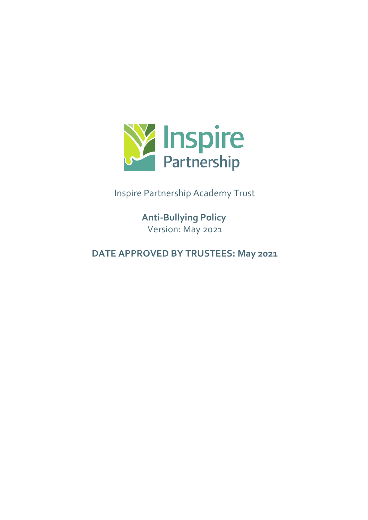

Inspire Partnership Academy Trust

**Anti-Bullying Policy** Version: May 2021

**DATE APPROVED BY TRUSTEES: May 2021**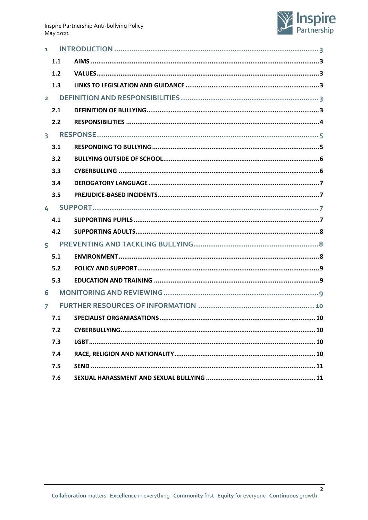

| $1 \quad$      |             |  |
|----------------|-------------|--|
|                | 1.1         |  |
|                | 1.2         |  |
|                | 1.3         |  |
|                | $2^{\circ}$ |  |
|                | 2.1         |  |
|                | 2.2         |  |
|                |             |  |
|                | 3.1         |  |
|                | 3.2         |  |
|                | 3.3         |  |
|                | 3.4         |  |
|                | 3.5         |  |
|                |             |  |
|                | 4.1         |  |
|                | 4.2         |  |
|                | $5^{\circ}$ |  |
|                | 5.1         |  |
|                | 5.2         |  |
|                | 5.3         |  |
| 6              |             |  |
| $\overline{7}$ |             |  |
|                | 7.1         |  |
|                | 7.2         |  |
|                | 7.3         |  |
|                | 7.4         |  |
|                | 7.5         |  |
|                | 7.6         |  |

 $\overline{2}$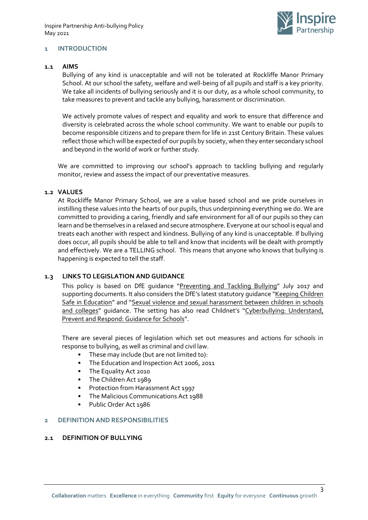

#### <span id="page-2-0"></span>**1 INTRODUCTION**

#### <span id="page-2-1"></span>**1.1 AIMS**

Bullying of any kind is unacceptable and will not be tolerated at Rockliffe Manor Primary School. At our school the safety, welfare and well-being of all pupils and staff is a key priority. We take all incidents of bullying seriously and it is our duty, as a whole school community, to take measures to prevent and tackle any bullying, harassment or discrimination.

We actively promote values of respect and equality and work to ensure that difference and diversity is celebrated across the whole school community. We want to enable our pupils to become responsible citizens and to prepare them for life in 21st Century Britain. These values reflect those which will be expected of our pupils by society, when they enter secondary school and beyond in the world of work or further study.

We are committed to improving our school's approach to tackling bullying and regularly monitor, review and assess the impact of our preventative measures.

#### <span id="page-2-2"></span>**1.2 VALUES**

At Rockliffe Manor Primary School, we are a value based school and we pride ourselves in instilling these values into the hearts of our pupils, thus underpinning everything we do. We are committed to providing a caring, friendly and safe environment for all of our pupils so they can learn and be themselves in a relaxed and secure atmosphere. Everyone at our school is equal and treats each another with respect and kindness. Bullying of any kind is unacceptable. If bullying does occur, all pupils should be able to tell and know that incidents will be dealt with promptly and effectively. We are a TELLING school. This means that anyone who knows that bullying is happening is expected to tell the staff.

#### <span id="page-2-3"></span>**1.3 LINKS TO LEGISLATION AND GUIDANCE**

This policy is based on DfE quidance "[Preventing and Tackling Bullying](https://www.gov.uk/government/publications/preventing-and-tackling-bullying)" July 2017 and supporting documents. It also considers the DfE's latest statutory guidance "[Keeping Children](https://www.gov.uk/government/publications/keeping-children-safe-in-education--2)  [Safe in Education](https://www.gov.uk/government/publications/keeping-children-safe-in-education--2)" and "[Sexual violence and sexual harassment between children in schools](https://www.gov.uk/government/publications/sexual-violence-and-sexual-harassment-between-children-in-schools-and-colleges)  [and colleges](https://www.gov.uk/government/publications/sexual-violence-and-sexual-harassment-between-children-in-schools-and-colleges)" guidance. The setting has also read Childnet's "Cyberbullying: Understand, [Prevent and Respond: Guidance for Schools](https://www.childnet.com/resources/cyberbullying-guidance-for-schools)".

There are several pieces of legislation which set out measures and actions for schools in response to bullying, as well as criminal and civil law.

- These may include (but are not limited to):
- The Education and Inspection Act 2006, 2011
- The Equality Act 2010
- The Children Act 1989
- Protection from Harassment Act 1997
- The Malicious Communications Act 1988
- Public Order Act 1986

#### <span id="page-2-4"></span>**2 DEFINITION AND RESPONSIBILITIES**

#### <span id="page-2-5"></span>**2.1 DEFINITION OF BULLYING**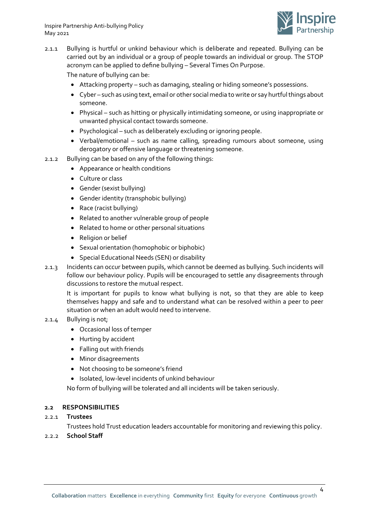

2.1.1 Bullying is hurtful or unkind behaviour which is deliberate and repeated. Bullying can be carried out by an individual or a group of people towards an individual or group. The STOP acronym can be applied to define bullying – Several Times On Purpose.

The nature of bullying can be:

- Attacking property such as damaging, stealing or hiding someone's possessions.
- Cyber such as using text, email or other social media to write or say hurtful things about someone.
- Physical such as hitting or physically intimidating someone, or using inappropriate or unwanted physical contact towards someone.
- Psychological such as deliberately excluding or ignoring people.
- Verbal/emotional such as name calling, spreading rumours about someone, using derogatory or offensive language or threatening someone.
- 2.1.2 Bullying can be based on any of the following things:
	- Appearance or health conditions
	- Culture or class
	- Gender (sexist bullying)
	- Gender identity (transphobic bullying)
	- Race (racist bullying)
	- Related to another vulnerable group of people
	- Related to home or other personal situations
	- Religion or belief
	- Sexual orientation (homophobic or biphobic)
	- Special Educational Needs (SEN) or disability
- 2.1.3 Incidents can occur between pupils, which cannot be deemed as bullying. Such incidents will follow our behaviour policy. Pupils will be encouraged to settle any disagreements through discussions to restore the mutual respect.

It is important for pupils to know what bullying is not, so that they are able to keep themselves happy and safe and to understand what can be resolved within a peer to peer situation or when an adult would need to intervene.

### 2.1.4 Bullying is not;

- Occasional loss of temper
- Hurting by accident
- Falling out with friends
- Minor disagreements
- Not choosing to be someone's friend
- Isolated, low-level incidents of unkind behaviour

No form of bullying will be tolerated and all incidents will be taken seriously.

### <span id="page-3-0"></span>**2.2 RESPONSIBILITIES**

### 2.2.1 **Trustees**

Trustees hold Trust education leaders accountable for monitoring and reviewing this policy.

### 2.2.2 **School Staff**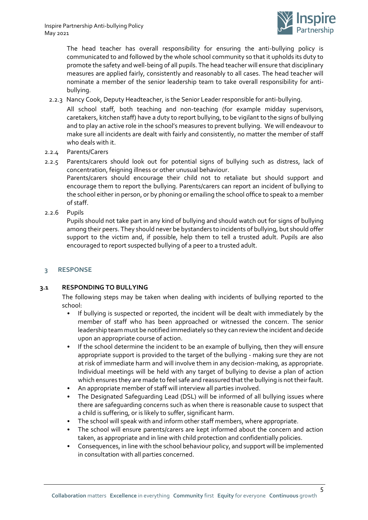

The head teacher has overall responsibility for ensuring the anti-bullying policy is communicated to and followed by the whole school community so that it upholds its duty to promote the safety and well-being of all pupils. The head teacher will ensure that disciplinary measures are applied fairly, consistently and reasonably to all cases. The head teacher will nominate a member of the senior leadership team to take overall responsibility for antibullying.

2.2.3 Nancy Cook, Deputy Headteacher, is the Senior Leader responsible for anti-bullying.

All school staff, both teaching and non-teaching (for example midday supervisors, caretakers, kitchen staff) have a duty to report bullying, to be vigilant to the signs of bullying and to play an active role in the school's measures to prevent bullying. We will endeavour to make sure all incidents are dealt with fairly and consistently, no matter the member of staff who deals with it.

- 2.2.4 Parents/Carers
- 2.2.5 Parents/carers should look out for potential signs of bullying such as distress, lack of concentration, feigning illness or other unusual behaviour.

Parents/carers should encourage their child not to retaliate but should support and encourage them to report the bullying. Parents/carers can report an incident of bullying to the school either in person, or by phoning or emailing the school office to speak to a member of staff.

2.2.6 Pupils

Pupils should not take part in any kind of bullying and should watch out for signs of bullying among their peers. They should never be bystanders to incidents of bullying, but should offer support to the victim and, if possible, help them to tell a trusted adult. Pupils are also encouraged to report suspected bullying of a peer to a trusted adult.

### <span id="page-4-0"></span>**3 RESPONSE**

### <span id="page-4-1"></span>**3.1 RESPONDING TO BULLYING**

The following steps may be taken when dealing with incidents of bullying reported to the school:

- If bullying is suspected or reported, the incident will be dealt with immediately by the member of staff who has been approached or witnessed the concern. The senior leadership team must be notified immediately so they can review the incident and decide upon an appropriate course of action.
- If the school determine the incident to be an example of bullying, then they will ensure appropriate support is provided to the target of the bullying - making sure they are not at risk of immediate harm and will involve them in any decision-making, as appropriate. Individual meetings will be held with any target of bullying to devise a plan of action which ensures they are made to feel safe and reassured that the bullying is not their fault.
- An appropriate member of staff will interview all parties involved.
- The Designated Safeguarding Lead (DSL) will be informed of all bullying issues where there are safeguarding concerns such as when there is reasonable cause to suspect that a child is suffering, or is likely to suffer, significant harm.
- The school will speak with and inform other staff members, where appropriate.
- The school will ensure parents/carers are kept informed about the concern and action taken, as appropriate and in line with child protection and confidentially policies.
- Consequences, in line with the school behaviour policy, and support will be implemented in consultation with all parties concerned.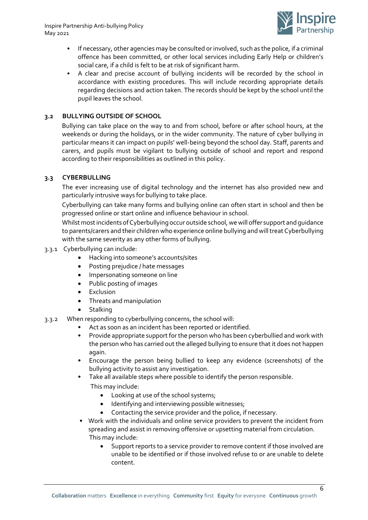

- If necessary, other agencies may be consulted or involved, such as the police, if a criminal offence has been committed, or other local services including Early Help or children's social care, if a child is felt to be at risk of significant harm.
- A clear and precise account of bullying incidents will be recorded by the school in accordance with existing procedures. This will include recording appropriate details regarding decisions and action taken. The records should be kept by the school until the pupil leaves the school.

# <span id="page-5-0"></span>**3.2 BULLYING OUTSIDE OF SCHOOL**

Bullying can take place on the way to and from school, before or after school hours, at the weekends or during the holidays, or in the wider community. The nature of cyber bullying in particular means it can impact on pupils' well-being beyond the school day. Staff, parents and carers, and pupils must be vigilant to bullying outside of school and report and respond according to their responsibilities as outlined in this policy.

### <span id="page-5-1"></span>**3.3 CYBERBULLING**

The ever increasing use of digital technology and the internet has also provided new and particularly intrusive ways for bullying to take place.

Cyberbullying can take many forms and bullying online can often start in school and then be progressed online or start online and influence behaviour in school.

Whilst most incidents of Cyberbullying occur outside school, we will offer support and guidance to parents/carers and their children who experience online bullying and will treat Cyberbullying with the same severity as any other forms of bullying.

- 3.3.1 Cyberbullying can include:
	- Hacking into someone's accounts/sites
	- Posting prejudice / hate messages
	- Impersonating someone on line
	- Public posting of images
	- **•** Exclusion
	- Threats and manipulation
	- Stalking
- 3.3.2 When responding to cyberbullying concerns, the school will:
	- Act as soon as an incident has been reported or identified.
	- Provide appropriate support for the person who has been cyberbullied and work with the person who has carried out the alleged bullying to ensure that it does not happen again.
	- Encourage the person being bullied to keep any evidence (screenshots) of the bullying activity to assist any investigation.
	- Take all available steps where possible to identify the person responsible.
		- This may include:
			- Looking at use of the school systems;
			- Identifying and interviewing possible witnesses;
			- Contacting the service provider and the police, if necessary.
	- Work with the individuals and online service providers to prevent the incident from spreading and assist in removing offensive or upsetting material from circulation. This may include:
		- Support reports to a service provider to remove content if those involved are unable to be identified or if those involved refuse to or are unable to delete content.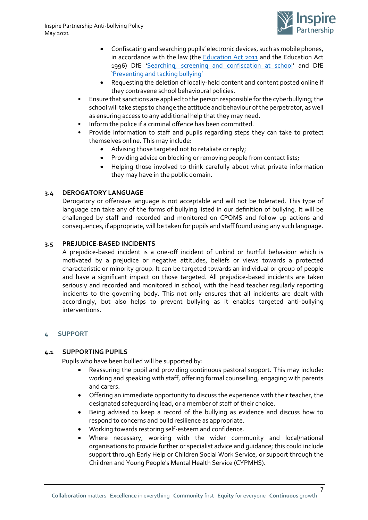

- Confiscating and searching pupils' electronic devices, such as mobile phones, in accordance with the law (the **Education Act 2011** and the Education Act 1996) DfE '[Searching, screening and confiscation at school](https://www.gov.uk/government/publications/searching-screening-and-confiscation)' and DfE 'Preventing an[d tacking bullying'](https://www.gov.uk/government/publications/preventing-and-tackling-bullying)
- Requesting the deletion of locally-held content and content posted online if they contravene school behavioural policies.
- Ensure that sanctions are applied to the person responsible for the cyberbullying; the school will take steps to change the attitude and behaviour of the perpetrator, as well as ensuring access to any additional help that they may need.
- Inform the police if a criminal offence has been committed.
- Provide information to staff and pupils regarding steps they can take to protect themselves online. This may include:
	- Advising those targeted not to retaliate or reply;
	- Providing advice on blocking or removing people from contact lists;
	- Helping those involved to think carefully about what private information they may have in the public domain.

# <span id="page-6-0"></span>**3.4 DEROGATORY LANGUAGE**

Derogatory or offensive language is not acceptable and will not be tolerated. This type of language can take any of the forms of bullying listed in our definition of bullying. It will be challenged by staff and recorded and monitored on CPOMS and follow up actions and consequences, if appropriate, will be taken for pupils and staff found using any such language.

# <span id="page-6-1"></span>**3.5 PREJUDICE-BASED INCIDENTS**

A prejudice-based incident is a one-off incident of unkind or hurtful behaviour which is motivated by a prejudice or negative attitudes, beliefs or views towards a protected characteristic or minority group. It can be targeted towards an individual or group of people and have a significant impact on those targeted. All prejudice-based incidents are taken seriously and recorded and monitored in school, with the head teacher regularly reporting incidents to the governing body. This not only ensures that all incidents are dealt with accordingly, but also helps to prevent bullying as it enables targeted anti-bullying interventions.

### <span id="page-6-2"></span>**4 SUPPORT**

### <span id="page-6-3"></span>**4.1 SUPPORTING PUPILS**

Pupils who have been bullied will be supported by:

- Reassuring the pupil and providing continuous pastoral support. This may include: working and speaking with staff, offering formal counselling, engaging with parents and carers.
- Offering an immediate opportunity to discuss the experience with their teacher, the designated safeguarding lead, or a member of staff of their choice.
- Being advised to keep a record of the bullying as evidence and discuss how to respond to concerns and build resilience as appropriate.
- Working towards restoring self-esteem and confidence.
- Where necessary, working with the wider community and local/national organisations to provide further or specialist advice and guidance; this could include support through Early Help or Children Social Work Service, or support through the Children and Young People's Mental Health Service (CYPMHS).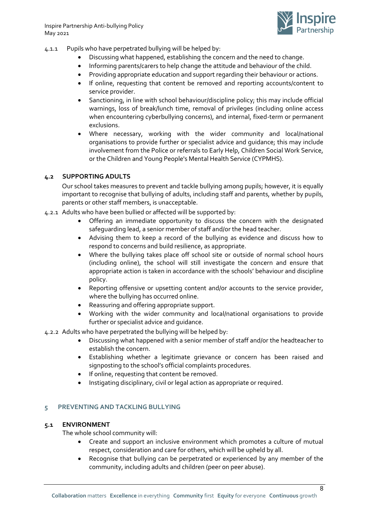

- 4.1.1 Pupils who have perpetrated bullying will be helped by:
	- Discussing what happened, establishing the concern and the need to change.
	- Informing parents/carers to help change the attitude and behaviour of the child.
	- Providing appropriate education and support regarding their behaviour or actions.
	- If online, requesting that content be removed and reporting accounts/content to service provider.
	- Sanctioning, in line with school behaviour/discipline policy; this may include official warnings, loss of break/lunch time, removal of privileges (including online access when encountering cyberbullying concerns), and internal, fixed-term or permanent exclusions.
	- Where necessary, working with the wider community and local/national organisations to provide further or specialist advice and guidance; this may include involvement from the Police or referrals to Early Help, Children Social Work Service, or the Children and Young People's Mental Health Service (CYPMHS).

### <span id="page-7-0"></span>**4.2 SUPPORTING ADULTS**

Our school takes measures to prevent and tackle bullying among pupils; however, it is equally important to recognise that bullying of adults, including staff and parents, whether by pupils, parents or other staff members, is unacceptable.

- 4.2.1 Adults who have been bullied or affected will be supported by:
	- Offering an immediate opportunity to discuss the concern with the designated safeguarding lead, a senior member of staff and/or the head teacher.
	- Advising them to keep a record of the bullying as evidence and discuss how to respond to concerns and build resilience, as appropriate.
	- Where the bullying takes place off school site or outside of normal school hours (including online), the school will still investigate the concern and ensure that appropriate action is taken in accordance with the schools' behaviour and discipline policy.
	- Reporting offensive or upsetting content and/or accounts to the service provider, where the bullying has occurred online.
	- Reassuring and offering appropriate support.
	- Working with the wider community and local/national organisations to provide further or specialist advice and guidance.

#### 4.2.2 Adults who have perpetrated the bullying will be helped by:

- Discussing what happened with a senior member of staff and/or the headteacher to establish the concern.
- Establishing whether a legitimate grievance or concern has been raised and signposting to the school's official complaints procedures.
- If online, requesting that content be removed.
- Instigating disciplinary, civil or legal action as appropriate or required.

#### <span id="page-7-1"></span>**5 PREVENTING AND TACKLING BULLYING**

#### **5.1 ENVIRONMENT**

<span id="page-7-2"></span>The whole school community will:

- Create and support an inclusive environment which promotes a culture of mutual respect, consideration and care for others, which will be upheld by all.
- Recognise that bullying can be perpetrated or experienced by any member of the community, including adults and children (peer on peer abuse).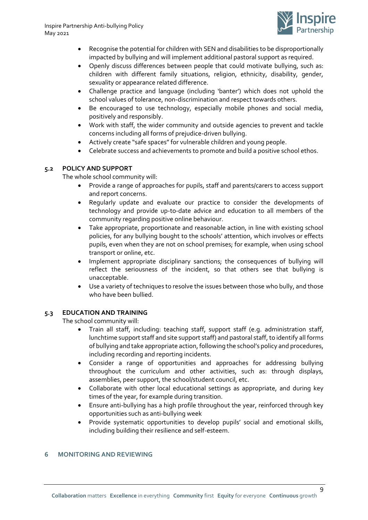

- Recognise the potential for children with SEN and disabilities to be disproportionally impacted by bullying and will implement additional pastoral support as required.
- Openly discuss differences between people that could motivate bullying, such as: children with different family situations, religion, ethnicity, disability, gender, sexuality or appearance related difference.
- Challenge practice and language (including 'banter') which does not uphold the school values of tolerance, non-discrimination and respect towards others.
- Be encouraged to use technology, especially mobile phones and social media, positively and responsibly.
- Work with staff, the wider community and outside agencies to prevent and tackle concerns including all forms of prejudice-driven bullying.
- Actively create "safe spaces" for vulnerable children and young people.
- Celebrate success and achievements to promote and build a positive school ethos.

### <span id="page-8-0"></span>**5.2 POLICY AND SUPPORT**

The whole school community will:

- Provide a range of approaches for pupils, staff and parents/carers to access support and report concerns.
- Regularly update and evaluate our practice to consider the developments of technology and provide up-to-date advice and education to all members of the community regarding positive online behaviour.
- Take appropriate, proportionate and reasonable action, in line with existing school policies, for any bullying bought to the schools' attention, which involves or effects pupils, even when they are not on school premises; for example, when using school transport or online, etc.
- Implement appropriate disciplinary sanctions; the consequences of bullying will reflect the seriousness of the incident, so that others see that bullying is unacceptable.
- Use a variety of techniques to resolve the issues between those who bully, and those who have been bullied.

# <span id="page-8-1"></span>**5.3 EDUCATION AND TRAINING**

The school community will:

- Train all staff, including: teaching staff, support staff (e.g. administration staff, lunchtime support staff and site support staff) and pastoral staff, to identify all forms of bullying and take appropriate action, following the school's policy and procedures, including recording and reporting incidents.
- Consider a range of opportunities and approaches for addressing bullying throughout the curriculum and other activities, such as: through displays, assemblies, peer support, the school/student council, etc.
- Collaborate with other local educational settings as appropriate, and during key times of the year, for example during transition.
- Ensure anti-bullying has a high profile throughout the year, reinforced through key opportunities such as anti-bullying week
- Provide systematic opportunities to develop pupils' social and emotional skills, including building their resilience and self-esteem.

### <span id="page-8-2"></span>**6 MONITORING AND REVIEWING**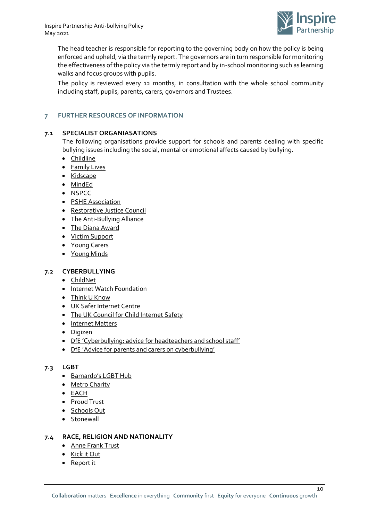

The head teacher is responsible for reporting to the governing body on how the policy is being enforced and upheld, via the termly report. The governors are in turn responsible for monitoring the effectiveness of the policy via the termly report and by in-school monitoring such as learning walks and focus groups with pupils.

The policy is reviewed every 12 months, in consultation with the whole school community including staff, pupils, parents, carers, governors and Trustees.

# <span id="page-9-0"></span>**7 FURTHER RESOURCES OF INFORMATION**

### <span id="page-9-1"></span>**7.1 SPECIALIST ORGANIASATIONS**

The following organisations provide support for schools and parents dealing with specific bullying issues including the social, mental or emotional affects caused by bullying.

- [Childline](http://www.childline.org.uk/)
- **•** [Family Lives](http://www.familylives.org.uk/)
- [Kidscape](https://www.kidscape.org.uk/)
- [MindEd](http://www.minded.org.uk/)
- [NSPCC](http://www.nspcc.org.uk/)
- [PSHE Association](http://www.pshe-association.org.uk/)
- [Restorative Justice Council](https://restorativejustice.org.uk/restorative-practice-education-0)
- [The Anti-Bullying Alliance](http://www.anti-bullyingalliance.org.uk/)
- [The Diana Award](https://diana-award.org.uk/)
- [Victim Support](http://www.victimsupport.org.uk/)
- [Young Carers](http://www.youngcarers.net/)
- [Young Minds](http://www.youngminds.org.uk/)

#### <span id="page-9-2"></span>**7.2 CYBERBULLYING**

- [ChildNet](http://www.childnet.com/)
- [Internet Watch Foundation](http://www.iwf.org.uk/)
- [Think U Know](http://www.thinkuknow.co.uk/)
- [UK Safer Internet Centre](http://www.saferinternet.org.uk/)
- [The UK Council for Child Internet Safety](http://www.gov.uk/government/groups/uk-council-for-child-internet-safety-ukccis)
- [Internet Matters](https://www.internetmatters.org/)
- [Digizen](https://www.digizen.org/)
- DfE '[Cyberbullying: advice for headteachers and school staff](http://www.gov.uk/government/publications/preventing-and-tackling-bullying)'
- DfE '[Advice for parents and carers on cyberbullying](http://www.gov.uk/government/publications/preventing-and-tackling-bullying)'

#### <span id="page-9-3"></span>**7.3 LGBT**

- [Barnardo's LGBT Hub](http://www.barnardos.org.uk/what_we_do/our_work/lgbtq.htm)
- [Metro Charity](http://www.metrocentreonline.org/)
- [EACH](http://www.eachaction.org.uk/)
- [Proud Trust](http://www.theproudtrust.org/)
- [Schools Out](http://www.schools-out.org.uk/)
- [Stonewall](http://www.stonewall.org.uk/)

#### <span id="page-9-4"></span>**7.4 RACE, RELIGION AND NATIONALITY**

- [Anne Frank Trust](http://www.annefrank.org.uk/)
- [Kick it Out](http://www.kickitout.org/)
- [Report it](http://www.report-it.org.uk/)